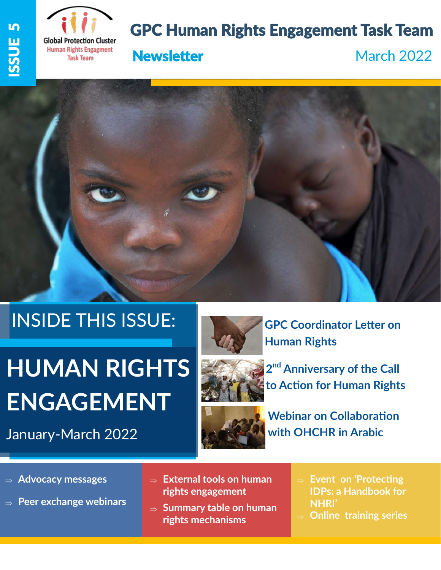



# GPC Human Rights Engagement Task Team





# INSIDE THIS ISSUE:

# **HUMAN RIGHTS ENGAGEMENT**

January-March 2022



**GPC Coordinator Letter on Human Rights** 



**2 nd Anniversary of the Call to Action for Human Rights** 



**Webinar on Collaboration with OHCHR in Arabic**

- **Advocacy messages**
- **Peer exchange webinars**
- **External tools on human rights engagement**
- **⇒ Summary table on human rights mechanisms**
- **Event on 'Protecting IDPs: a Handbook for NHRI'**
- **Online training series**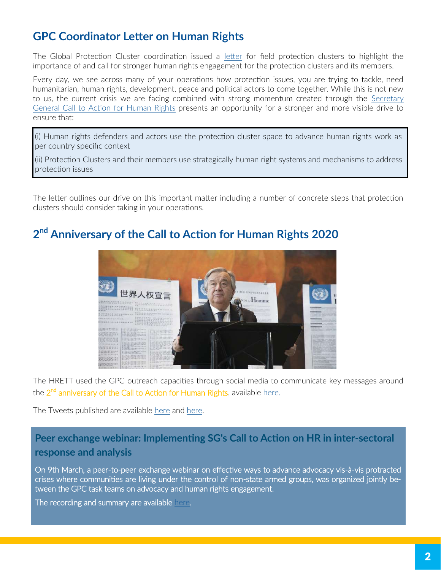## **GPC Coordinator Letter on Human Rights**

The Global Protection Cluster coordination issued a [letter](https://www.globalprotectioncluster.org/wp-content/uploads/GPC-Coordinator-Letter-on-Human-Rights-Engagement.pdf) for field protection clusters to highlight the importance of and call for stronger human rights engagement for the protection clusters and its members.

Every day, we see across many of your operations how protection issues, you are trying to tackle, need humanitarian, human rights, development, peace and political actors to come together. While this is not new to us, the current crisis we are facing combined with strong momentum created through the [Secretary](https://www.un.org/en/content/action-for-human-rights/index.shtml)  [General Call to Action for Human Rights](https://www.un.org/en/content/action-for-human-rights/index.shtml) presents an opportunity for a stronger and more visible drive to ensure that:

(i) Human rights defenders and actors use the protection cluster space to advance human rights work as per country specific context

(ii) Protection Clusters and their members use strategically human right systems and mechanisms to address protection issues

The letter outlines our drive on this important matter including a number of concrete steps that protection clusters should consider taking in your operations.

## **2 nd Anniversary of the Call to Action for Human Rights 2020**



The HRETT used the GPC outreach capacities through social media to communicate key messages around the 2<sup>nd</sup> anniversary of the Call to Action for Human Rights, available [here.](https://www.un.org/sg/sites/www.un.org.sg/files/atoms/files/The_Highest_Asperation_A_Call_To_Action_For_Human_Right_English.pdf)

The Tweets published are available [here](https://twitter.com/ProtectionClust/status/1496776797765181440?s=20&t=GkD5DlLohwYsWpLWg82npw) and [here.](https://twitter.com/ProtectionClust/status/1496062211998969858?s=20&t=GkD5DlLohwYsWpLWg82npw)

#### **Peer exchange webinar: Implementing SG's Call to Action on HR in inter-sectoral response and analysis**

On 9th March, a peer-to-peer exchange webinar on effective ways to advance advocacy vis-à-vis protracted crises where communities are living under the control of non-state armed groups, was organized jointly between the GPC task teams on advocacy and human rights engagement.

The recording and summary are available [here.](https://www.youtube.com/watch?v=SzSSCI4axUs)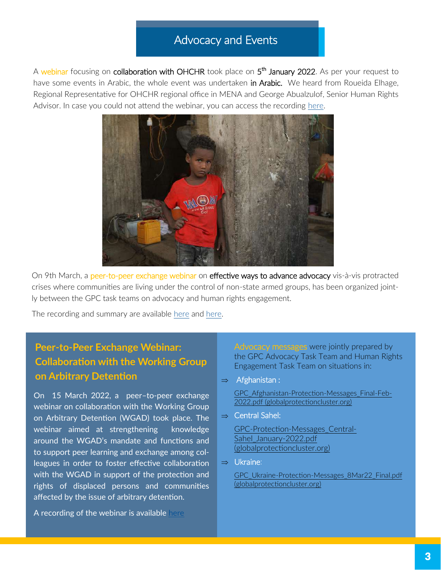#### Advocacy and Events

A webinar focusing on **collaboration with OHCHR** took place on 5<sup>th</sup> January 2022. As per your request to have some events in Arabic, the whole event was undertaken in Arabic. We heard from Roueida Elhage, Regional Representative for OHCHR regional office in MENA and George Abualzulof, Senior Human Rights Advisor. In case you could not attend the webinar, you can access the recording [here.](https://youtu.be/D1XRx9HhJCE)



On 9th March, a peer-to-peer exchange webinar on effective ways to advance advocacy vis-à-vis protracted crises where communities are living under the control of non-state armed groups, has been organized jointly between the GPC task teams on advocacy and human rights engagement.

The recording and summary are available [here](https://www.youtube.com/watch?v=SzSSCI4axUs) and [here.](https://www.globalprotectioncluster.org/wp-content/uploads/Peer-exchange-webinar-9.3.22_Advocacy-NSAG_summary.docx)

### **Peer-to-Peer Exchange Webinar: Collaboration with the Working Group on Arbitrary Detention**

On 15 March 2022, a peer–to-peer exchange webinar on collaboration with the Working Group on Arbitrary Detention (WGAD) took place. The webinar aimed at strengthening knowledge around the WGAD's mandate and functions and to support peer learning and exchange among colleagues in order to foster effective collaboration with the WGAD in support of the protection and rights of displaced persons and communities affected by the issue of arbitrary detention.

A recording of the webinar is available [here](https://www.youtube.com/watch?v=oVQrrXM358I)

Advocacy messages were jointly prepared by the GPC Advocacy Task Team and Human Rights Engagement Task Team on situations in:

 $\Rightarrow$  Afghanistan :

[GPC\\_Afghanistan](https://www.globalprotectioncluster.org/wp-content/uploads/GPC_Afghanistan-Protection-Messages_Final-Feb-2022.pdf)-Protection-Messages\_Final-Feb-[2022.pdf \(globalprotectioncluster.org\)](https://www.globalprotectioncluster.org/wp-content/uploads/GPC_Afghanistan-Protection-Messages_Final-Feb-2022.pdf)

 $\Rightarrow$  Central Sahel:

GPC-Protection-[Messages\\_Central](https://www.globalprotectioncluster.org/wp-content/uploads/GPC-Protection-Messages_Central-Sahel_January-2022.pdf)-[Sahel\\_January](https://www.globalprotectioncluster.org/wp-content/uploads/GPC-Protection-Messages_Central-Sahel_January-2022.pdf)-2022.pdf [\(globalprotectioncluster.org\)](https://www.globalprotectioncluster.org/wp-content/uploads/GPC-Protection-Messages_Central-Sahel_January-2022.pdf)

 $\Rightarrow$  Ukraine:

GPC\_Ukraine-Protection-Messages\_8Mar22\_Final.pdf [\(globalprotectioncluster.org\)](https://www.globalprotectioncluster.org/wp-content/uploads/GPC_Ukraine-Protection-Messages_8Mar22_Final.pdf)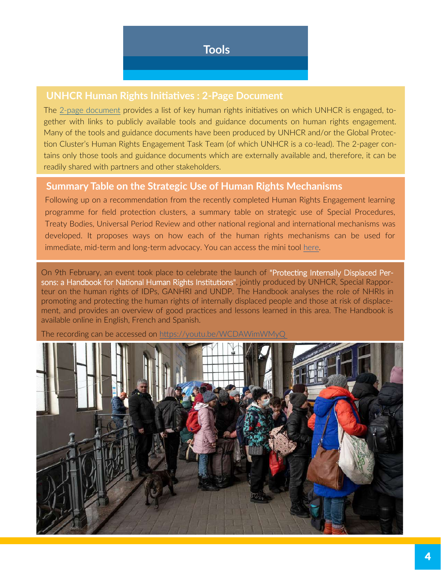#### **UNHCR Human Rights Initiatives : 2-Page Document**

The 2-[page document](https://www.globalprotectioncluster.org/wp-content/uploads/2-pager-External-tools-on-human-rights.pdf) provides a list of key human rights initiatives on which UNHCR is engaged, together with links to publicly available tools and guidance documents on human rights engagement. Many of the tools and guidance documents have been produced by UNHCR and/or the Global Protection Cluster's Human Rights Engagement Task Team (of which UNHCR is a co-lead). The 2-pager contains only those tools and guidance documents which are externally available and, therefore, it can be readily shared with partners and other stakeholders.

#### **Summary Table on the Strategic Use of Human Rights Mechanisms**

Following up on a recommendation from the recently completed Human Rights Engagement learning programme for field protection clusters, a summary table on strategic use of Special Procedures, Treaty Bodies, Universal Period Review and other national regional and international mechanisms was developed. It proposes ways on how each of the human rights mechanisms can be used for immediate, mid-term and long-term advocacy. You can access the mini tool [here.](https://www.globalprotectioncluster.org/wp-content/uploads/UN-Human-Rights-Mechanisms-Summary-Table.pdf)

On 9th February, an event took place to celebrate the launch of "Protecting Internally Displaced Persons: a Handbook for National Human Rights Institutions", jointly produced by UNHCR, Special Rapporteur on the human rights of IDPs, GANHRI and UNDP. The Handbook analyses the role of NHRIs in promoting and protecting the human rights of internally displaced people and those at risk of displacement, and provides an overview of good practices and lessons learned in this area. The Handbook is available online in English, French and Spanish.

The recording can be accessed on https://youtu.be/WCDAWimWMyQ